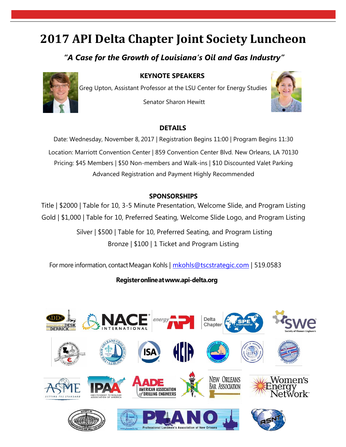# **2017 API Delta Chapter Joint Society Luncheon**

## *"A Case for the Growth of Louisiana's Oil and Gas Industry"*

**KEYNOTE SPEAKERS**



Greg Upton, Assistant Professor at the LSU Center for Energy Studies

Senator Sharon Hewitt



#### **DETAILS**

Date: Wednesday, November 8, 2017 | Registration Begins 11:00 | Program Begins 11:30 Location: Marriott Convention Center | 859 Convention Center Blvd. New Orleans, LA 70130 Pricing: \$45 Members | \$50 Non-members and Walk-ins | \$10 Discounted Valet Parking Advanced Registration and Payment Highly Recommended

#### **SPONSORSHIPS**

Title | \$2000 | Table for 10, 3-5 Minute Presentation, Welcome Slide, and Program Listing Gold | \$1,000 | Table for 10, Preferred Seating, Welcome Slide Logo, and Program Listing

> Silver | \$500 | Table for 10, Preferred Seating, and Program Listing Bronze | \$100 | 1 Ticket and Program Listing

For more information, contact Meagan Kohls | [mkohls@tscstrategic.com](mailto:mkohls@tscstrategic.com) | 519.0583

**Registeronlinea[twww.api-delta.org](http://www.api-delta.org/)**